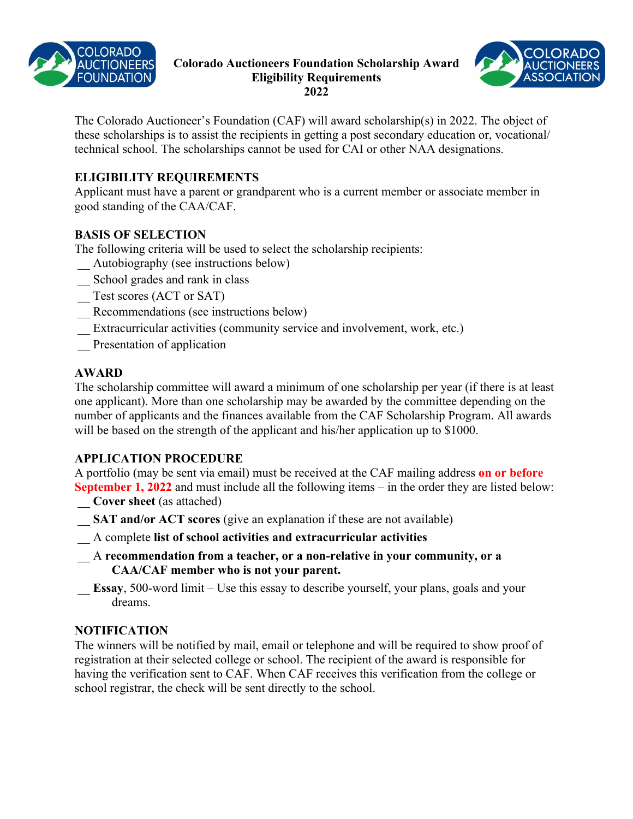

### **Colorado Auctioneers Foundation Scholarship Award Eligibility Requirements 2022**



The Colorado Auctioneer's Foundation (CAF) will award scholarship(s) in 2022. The object of these scholarships is to assist the recipients in getting a post secondary education or, vocational/ technical school. The scholarships cannot be used for CAI or other NAA designations.

## **ELIGIBILITY REQUIREMENTS**

Applicant must have a parent or grandparent who is a current member or associate member in good standing of the CAA/CAF.

### **BASIS OF SELECTION**

The following criteria will be used to select the scholarship recipients:

- \_\_ Autobiography (see instructions below)
- School grades and rank in class
- \_\_ Test scores (ACT or SAT)
- Recommendations (see instructions below)
- Extracurricular activities (community service and involvement, work, etc.)
- \_\_ Presentation of application

### **AWARD**

The scholarship committee will award a minimum of one scholarship per year (if there is at least one applicant). More than one scholarship may be awarded by the committee depending on the number of applicants and the finances available from the CAF Scholarship Program. All awards will be based on the strength of the applicant and his/her application up to \$1000.

# **APPLICATION PROCEDURE**

A portfolio (may be sent via email) must be received at the CAF mailing address **on or before September 1, 2022** and must include all the following items – in the order they are listed below:

- \_\_ **Cover sheet** (as attached)
- \_\_ **SAT and/or ACT scores** (give an explanation if these are not available)
- \_\_ A complete **list of school activities and extracurricular activities**
- \_\_ A **recommendation from a teacher, or a non-relative in your community, or a CAA/CAF member who is not your parent.**
- **Essay**, 500-word limit Use this essay to describe yourself, your plans, goals and your dreams.

### **NOTIFICATION**

The winners will be notified by mail, email or telephone and will be required to show proof of registration at their selected college or school. The recipient of the award is responsible for having the verification sent to CAF. When CAF receives this verification from the college or school registrar, the check will be sent directly to the school.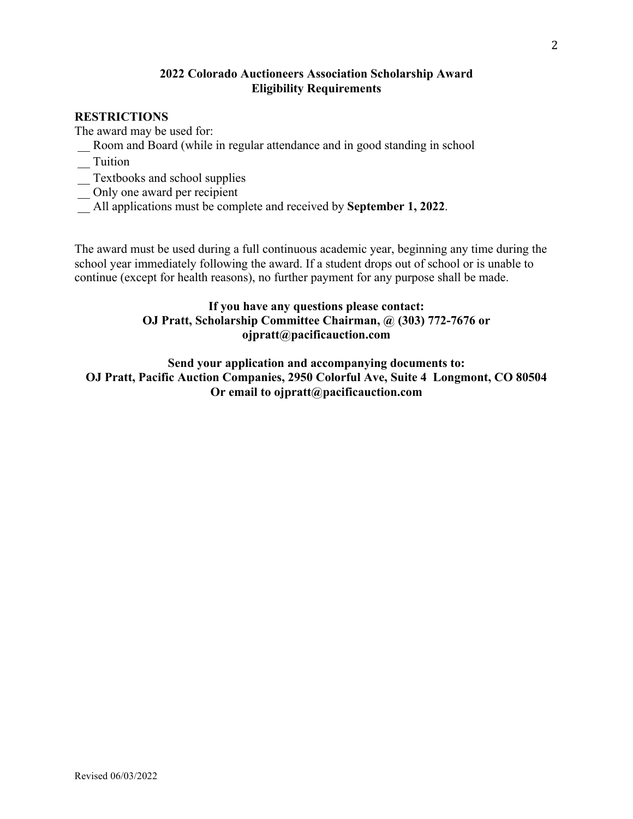#### **2022 Colorado Auctioneers Association Scholarship Award Eligibility Requirements**

### **RESTRICTIONS**

The award may be used for:

- \_\_ Room and Board (while in regular attendance and in good standing in school
- \_\_ Tuition
- \_\_ Textbooks and school supplies
- \_\_ Only one award per recipient
- \_\_ All applications must be complete and received by **September 1, 2022**.

The award must be used during a full continuous academic year, beginning any time during the school year immediately following the award. If a student drops out of school or is unable to continue (except for health reasons), no further payment for any purpose shall be made.

## **If you have any questions please contact: OJ Pratt, Scholarship Committee Chairman, @ (303) 772-7676 or ojpratt@pacificauction.com**

**Send your application and accompanying documents to: OJ Pratt, Pacific Auction Companies, 2950 Colorful Ave, Suite 4 Longmont, CO 80504 Or email to ojpratt@pacificauction.com**